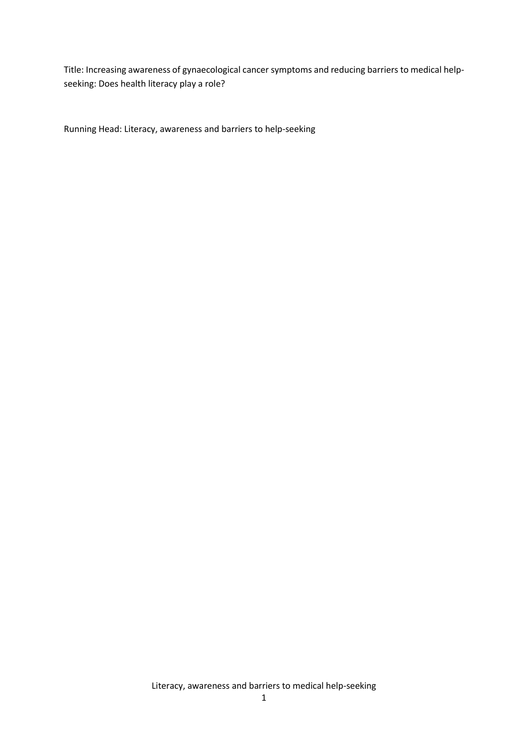Title: Increasing awareness of gynaecological cancer symptoms and reducing barriers to medical helpseeking: Does health literacy play a role?

Running Head: Literacy, awareness and barriers to help-seeking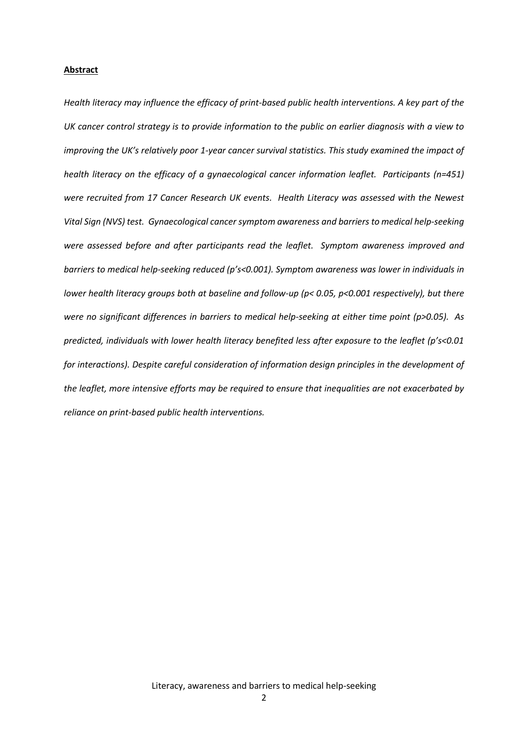## **Abstract**

*Health literacy may influence the efficacy of print-based public health interventions. A key part of the UK cancer control strategy is to provide information to the public on earlier diagnosis with a view to improving the UK's relatively poor 1-year cancer survival statistics. This study examined the impact of health literacy on the efficacy of a gynaecological cancer information leaflet. Participants (n=451) were recruited from 17 Cancer Research UK events. Health Literacy was assessed with the Newest Vital Sign (NVS) test. Gynaecological cancer symptom awareness and barriers to medical help-seeking were assessed before and after participants read the leaflet. Symptom awareness improved and barriers to medical help-seeking reduced (p's<0.001). Symptom awareness was lower in individuals in lower health literacy groups both at baseline and follow-up (p< 0.05, p<0.001 respectively), but there were no significant differences in barriers to medical help-seeking at either time point (p>0.05). As predicted, individuals with lower health literacy benefited less after exposure to the leaflet (p's<0.01 for interactions). Despite careful consideration of information design principles in the development of the leaflet, more intensive efforts may be required to ensure that inequalities are not exacerbated by reliance on print-based public health interventions.*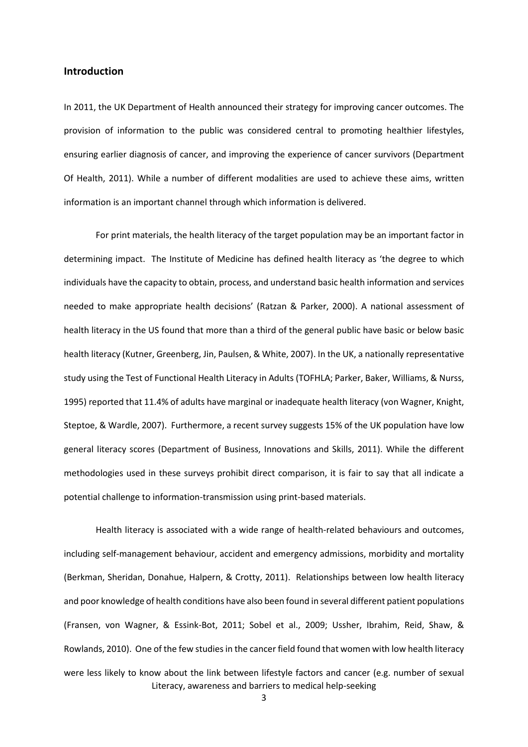## **Introduction**

In 2011, the UK Department of Health announced their strategy for improving cancer outcomes. The provision of information to the public was considered central to promoting healthier lifestyles, ensuring earlier diagnosis of cancer, and improving the experience of cancer survivors (Department Of Health, 2011). While a number of different modalities are used to achieve these aims, written information is an important channel through which information is delivered.

For print materials, the health literacy of the target population may be an important factor in determining impact. The Institute of Medicine has defined health literacy as 'the degree to which individuals have the capacity to obtain, process, and understand basic health information and services needed to make appropriate health decisions' (Ratzan & Parker, 2000). A national assessment of health literacy in the US found that more than a third of the general public have basic or below basic health literacy (Kutner, Greenberg, Jin, Paulsen, & White, 2007). In the UK, a nationally representative study using the Test of Functional Health Literacy in Adults (TOFHLA; Parker, Baker, Williams, & Nurss, 1995) reported that 11.4% of adults have marginal or inadequate health literacy (von Wagner, Knight, Steptoe, & Wardle, 2007). Furthermore, a recent survey suggests 15% of the UK population have low general literacy scores (Department of Business, Innovations and Skills, 2011). While the different methodologies used in these surveys prohibit direct comparison, it is fair to say that all indicate a potential challenge to information-transmission using print-based materials.

Literacy, awareness and barriers to medical help-seeking Health literacy is associated with a wide range of health-related behaviours and outcomes, including self-management behaviour, accident and emergency admissions, morbidity and mortality (Berkman, Sheridan, Donahue, Halpern, & Crotty, 2011). Relationships between low health literacy and poor knowledge of health conditions have also been found in several different patient populations (Fransen, von Wagner, & Essink-Bot, 2011; Sobel et al., 2009; Ussher, Ibrahim, Reid, Shaw, & Rowlands, 2010). One of the few studies in the cancer field found that women with low health literacy were less likely to know about the link between lifestyle factors and cancer (e.g. number of sexual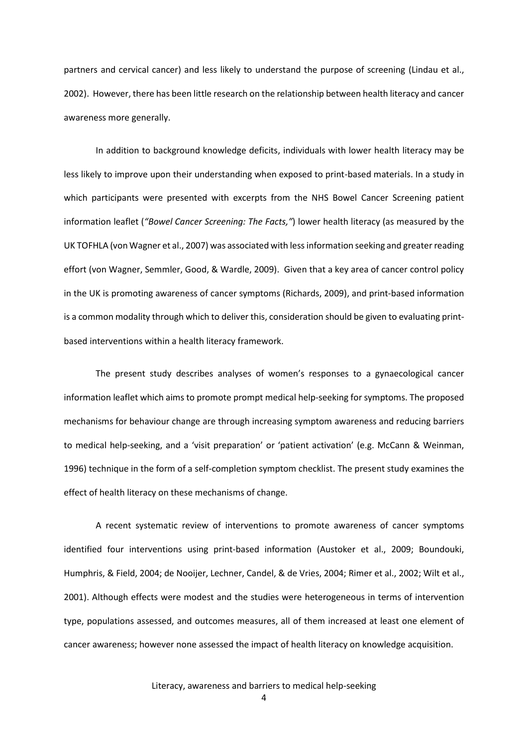partners and cervical cancer) and less likely to understand the purpose of screening (Lindau et al., 2002). However, there has been little research on the relationship between health literacy and cancer awareness more generally.

In addition to background knowledge deficits, individuals with lower health literacy may be less likely to improve upon their understanding when exposed to print-based materials. In a study in which participants were presented with excerpts from the NHS Bowel Cancer Screening patient information leaflet (*"Bowel Cancer Screening: The Facts,"*) lower health literacy (as measured by the UK TOFHLA (von Wagner et al., 2007) was associated with less information seeking and greater reading effort (von Wagner, Semmler, Good, & Wardle, 2009). Given that a key area of cancer control policy in the UK is promoting awareness of cancer symptoms (Richards, 2009), and print-based information is a common modality through which to deliver this, consideration should be given to evaluating printbased interventions within a health literacy framework.

The present study describes analyses of women's responses to a gynaecological cancer information leaflet which aims to promote prompt medical help-seeking for symptoms. The proposed mechanisms for behaviour change are through increasing symptom awareness and reducing barriers to medical help-seeking, and a 'visit preparation' or 'patient activation' (e.g. McCann & Weinman, 1996) technique in the form of a self-completion symptom checklist. The present study examines the effect of health literacy on these mechanisms of change.

A recent systematic review of interventions to promote awareness of cancer symptoms identified four interventions using print-based information (Austoker et al., 2009; Boundouki, Humphris, & Field, 2004; de Nooijer, Lechner, Candel, & de Vries, 2004; Rimer et al., 2002; Wilt et al., 2001). Although effects were modest and the studies were heterogeneous in terms of intervention type, populations assessed, and outcomes measures, all of them increased at least one element of cancer awareness; however none assessed the impact of health literacy on knowledge acquisition.

4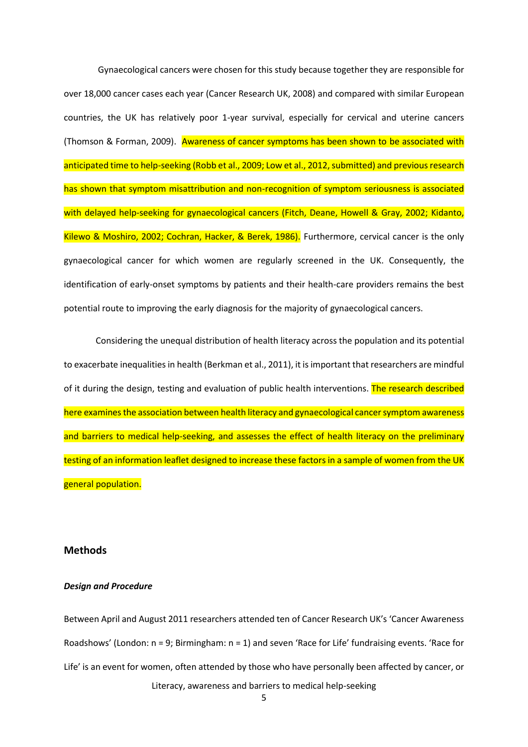Gynaecological cancers were chosen for this study because together they are responsible for over 18,000 cancer cases each year (Cancer Research UK, 2008) and compared with similar European countries, the UK has relatively poor 1-year survival, especially for cervical and uterine cancers (Thomson & Forman, 2009). Awareness of cancer symptoms has been shown to be associated with anticipated time to help-seeking (Robb et al., 2009; Low et al., 2012, submitted) and previous research has shown that symptom misattribution and non-recognition of symptom seriousness is associated with delayed help-seeking for gynaecological cancers (Fitch, Deane, Howell & Gray, 2002; Kidanto, Kilewo & Moshiro, 2002; Cochran, Hacker, & Berek, 1986). Furthermore, cervical cancer is the only gynaecological cancer for which women are regularly screened in the UK. Consequently, the identification of early-onset symptoms by patients and their health-care providers remains the best potential route to improving the early diagnosis for the majority of gynaecological cancers.

Considering the unequal distribution of health literacy across the population and its potential to exacerbate inequalities in health (Berkman et al., 2011), it is important that researchers are mindful of it during the design, testing and evaluation of public health interventions. The research described here examines the association between health literacy and gynaecological cancer symptom awareness and barriers to medical help-seeking, and assesses the effect of health literacy on the preliminary testing of an information leaflet designed to increase these factors in a sample of women from the UK general population.

## **Methods**

## *Design and Procedure*

Literacy, awareness and barriers to medical help-seeking Between April and August 2011 researchers attended ten of Cancer Research UK's 'Cancer Awareness Roadshows' (London: n = 9; Birmingham: n = 1) and seven 'Race for Life' fundraising events. 'Race for Life' is an event for women, often attended by those who have personally been affected by cancer, or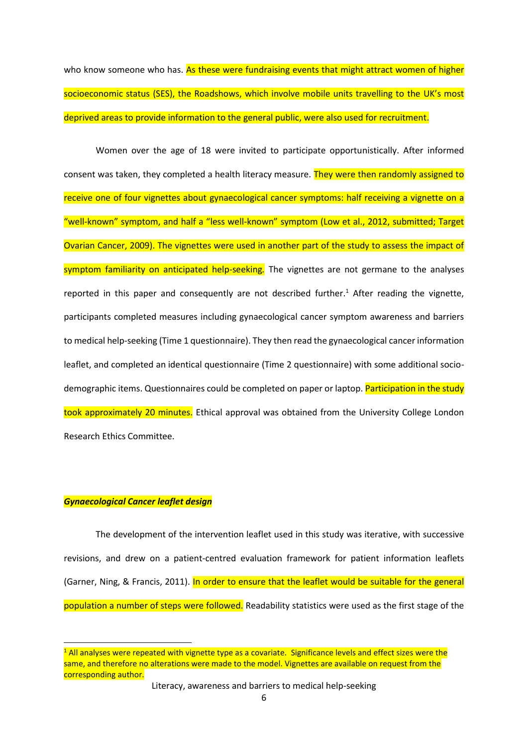who know someone who has. As these were fundraising events that might attract women of higher socioeconomic status (SES), the Roadshows, which involve mobile units travelling to the UK's most deprived areas to provide information to the general public, were also used for recruitment.

Women over the age of 18 were invited to participate opportunistically. After informed consent was taken, they completed a health literacy measure. They were then randomly assigned to receive one of four vignettes about gynaecological cancer symptoms: half receiving a vignette on a "well-known" symptom, and half a "less well-known" symptom (Low et al., 2012, submitted; Target Ovarian Cancer, 2009). The vignettes were used in another part of the study to assess the impact of symptom familiarity on anticipated help-seeking*.* The vignettes are not germane to the analyses reported in this paper and consequently are not described further.<sup>1</sup> After reading the vignette, participants completed measures including gynaecological cancer symptom awareness and barriers to medical help-seeking (Time 1 questionnaire). They then read the gynaecological cancer information leaflet, and completed an identical questionnaire (Time 2 questionnaire) with some additional sociodemographic items. Questionnaires could be completed on paper or laptop. **Participation in the study** took approximately 20 minutes. Ethical approval was obtained from the University College London Research Ethics Committee.

# *Gynaecological Cancer leaflet design*

**.** 

The development of the intervention leaflet used in this study was iterative, with successive revisions, and drew on a patient-centred evaluation framework for patient information leaflets (Garner, Ning, & Francis, 2011). In order to ensure that the leaflet would be suitable for the general population a number of steps were followed. Readability statistics were used as the first stage of the

<sup>&</sup>lt;sup>1</sup> All analyses were repeated with vignette type as a covariate. Significance levels and effect sizes were the same, and therefore no alterations were made to the model. Vignettes are available on request from the corresponding author.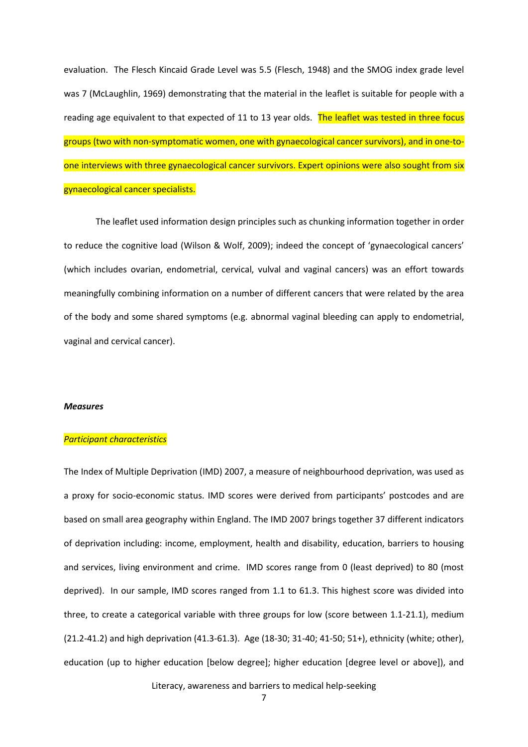evaluation. The Flesch Kincaid Grade Level was 5.5 (Flesch, 1948) and the SMOG index grade level was 7 (McLaughlin, 1969) demonstrating that the material in the leaflet is suitable for people with a reading age equivalent to that expected of 11 to 13 year olds. The leaflet was tested in three focus groups (two with non-symptomatic women, one with gynaecological cancer survivors), and in one-toone interviews with three gynaecological cancer survivors. Expert opinions were also sought from six gynaecological cancer specialists.

The leaflet used information design principles such as chunking information together in order to reduce the cognitive load (Wilson & Wolf, 2009); indeed the concept of 'gynaecological cancers' (which includes ovarian, endometrial, cervical, vulval and vaginal cancers) was an effort towards meaningfully combining information on a number of different cancers that were related by the area of the body and some shared symptoms (e.g. abnormal vaginal bleeding can apply to endometrial, vaginal and cervical cancer).

#### *Measures*

#### *Participant characteristics*

The Index of Multiple Deprivation (IMD) 2007, a measure of neighbourhood deprivation, was used as a proxy for socio-economic status. IMD scores were derived from participants' postcodes and are based on small area geography within England. The IMD 2007 brings together 37 different indicators of deprivation including: income, employment, health and disability, education, barriers to housing and services, living environment and crime. IMD scores range from 0 (least deprived) to 80 (most deprived). In our sample, IMD scores ranged from 1.1 to 61.3. This highest score was divided into three, to create a categorical variable with three groups for low (score between 1.1-21.1), medium (21.2-41.2) and high deprivation (41.3-61.3). Age (18-30; 31-40; 41-50; 51+), ethnicity (white; other), education (up to higher education [below degree]; higher education [degree level or above]), and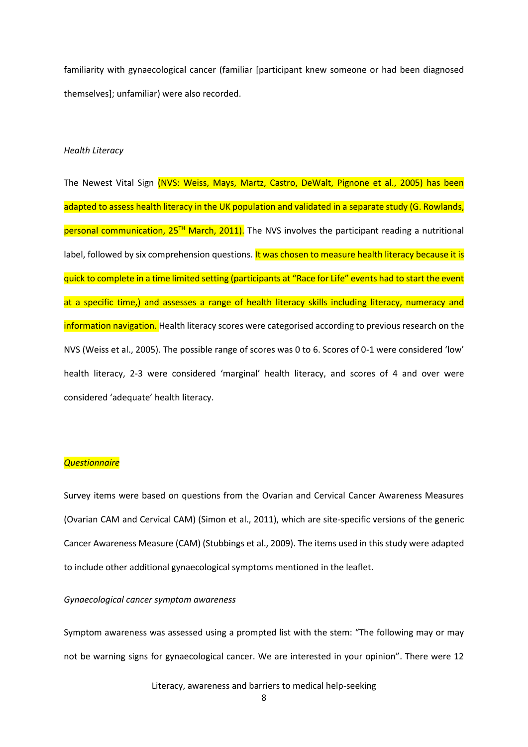familiarity with gynaecological cancer (familiar [participant knew someone or had been diagnosed themselves]; unfamiliar) were also recorded.

## *Health Literacy*

The Newest Vital Sign (NVS: Weiss, Mays, Martz, Castro, DeWalt, Pignone et al., 2005) has been adapted to assess health literacy in the UK population and validated in a separate study (G. Rowlands, personal communication,  $25<sup>TH</sup>$  March, 2011). The NVS involves the participant reading a nutritional label, followed by six comprehension questions. It was chosen to measure health literacy because it is quick to complete in a time limited setting (participants at "Race for Life" events had to start the event at a specific time,) and assesses a range of health literacy skills including literacy, numeracy and information navigation. Health literacy scores were categorised according to previous research on the NVS (Weiss et al., 2005). The possible range of scores was 0 to 6. Scores of 0-1 were considered 'low' health literacy, 2-3 were considered 'marginal' health literacy, and scores of 4 and over were considered 'adequate' health literacy.

#### *Questionnaire*

Survey items were based on questions from the Ovarian and Cervical Cancer Awareness Measures (Ovarian CAM and Cervical CAM) (Simon et al., 2011), which are site-specific versions of the generic Cancer Awareness Measure (CAM) (Stubbings et al., 2009). The items used in this study were adapted to include other additional gynaecological symptoms mentioned in the leaflet.

#### *Gynaecological cancer symptom awareness*

Symptom awareness was assessed using a prompted list with the stem: "The following may or may not be warning signs for gynaecological cancer. We are interested in your opinion". There were 12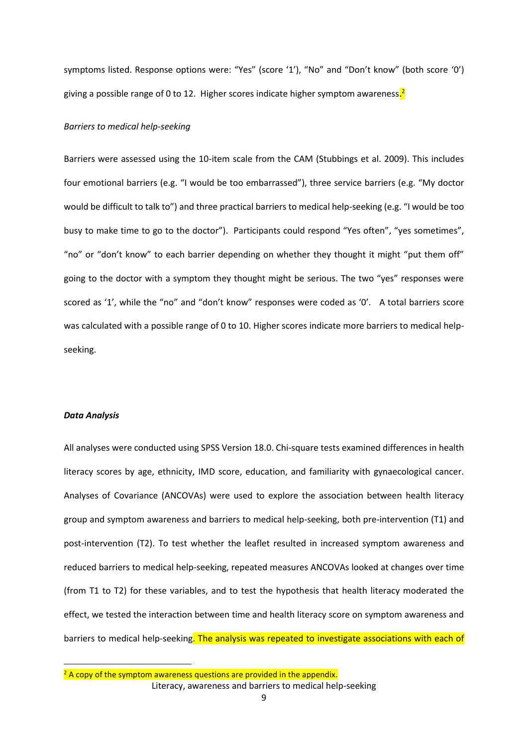symptoms listed. Response options were: "Yes" (score '1'), "No" and "Don't know" (both score '0') giving a possible range of 0 to 12. Higher scores indicate higher symptom awareness<mark>.<sup>2</sup></mark>

#### *Barriers to medical help-seeking*

Barriers were assessed using the 10-item scale from the CAM (Stubbings et al. 2009). This includes four emotional barriers (e.g. "I would be too embarrassed"), three service barriers (e.g. "My doctor would be difficult to talk to") and three practical barriers to medical help-seeking (e.g. "I would be too busy to make time to go to the doctor"). Participants could respond "Yes often", "yes sometimes", "no" or "don't know" to each barrier depending on whether they thought it might "put them off" going to the doctor with a symptom they thought might be serious. The two "yes" responses were scored as '1', while the "no" and "don't know" responses were coded as '0'. A total barriers score was calculated with a possible range of 0 to 10. Higher scores indicate more barriers to medical helpseeking.

#### *Data Analysis*

**.** 

All analyses were conducted using SPSS Version 18.0. Chi-square tests examined differences in health literacy scores by age, ethnicity, IMD score, education, and familiarity with gynaecological cancer. Analyses of Covariance (ANCOVAs) were used to explore the association between health literacy group and symptom awareness and barriers to medical help-seeking, both pre-intervention (T1) and post-intervention (T2). To test whether the leaflet resulted in increased symptom awareness and reduced barriers to medical help-seeking, repeated measures ANCOVAs looked at changes over time (from T1 to T2) for these variables, and to test the hypothesis that health literacy moderated the effect, we tested the interaction between time and health literacy score on symptom awareness and barriers to medical help-seeking. The analysis was repeated to investigate associations with each of

Literacy, awareness and barriers to medical help-seeking  $2$  A copy of the symptom awareness questions are provided in the appendix.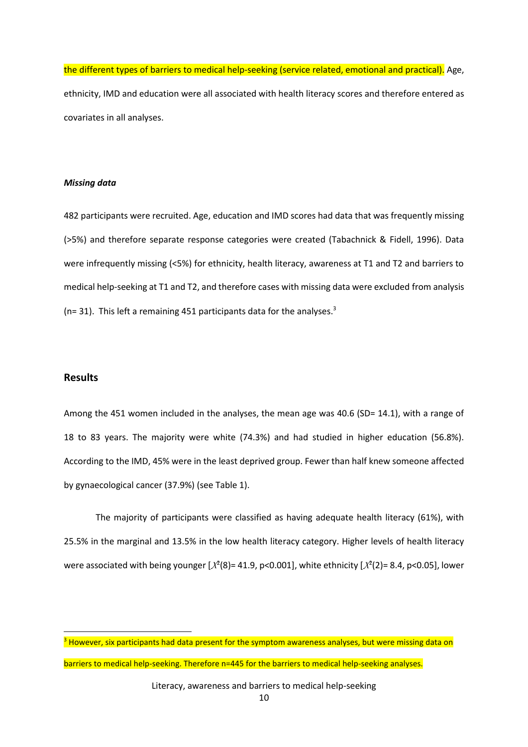the different types of barriers to medical help-seeking (service related, emotional and practical). Age, ethnicity, IMD and education were all associated with health literacy scores and therefore entered as covariates in all analyses.

### *Missing data*

482 participants were recruited. Age, education and IMD scores had data that was frequently missing (>5%) and therefore separate response categories were created (Tabachnick & Fidell, 1996). Data were infrequently missing (<5%) for ethnicity, health literacy, awareness at T1 and T2 and barriers to medical help-seeking at T1 and T2, and therefore cases with missing data were excluded from analysis ( $n=$  31). This left a remaining 451 participants data for the analyses.<sup>3</sup>

# **Results**

1

Among the 451 women included in the analyses, the mean age was 40.6 (SD= 14.1), with a range of 18 to 83 years. The majority were white (74.3%) and had studied in higher education (56.8%). According to the IMD, 45% were in the least deprived group. Fewer than half knew someone affected by gynaecological cancer (37.9%) (see Table 1).

The majority of participants were classified as having adequate health literacy (61%), with 25.5% in the marginal and 13.5% in the low health literacy category. Higher levels of health literacy were associated with being younger  $[\chi^2(8)$ = 41.9, p<0.001], white ethnicity  $[\chi^2(2)$ = 8.4, p<0.05], lower

barriers to medical help-seeking. Therefore n=445 for the barriers to medical help-seeking analyses.

<sup>&</sup>lt;sup>3</sup> However, six participants had data present for the symptom awareness analyses, but were missing data on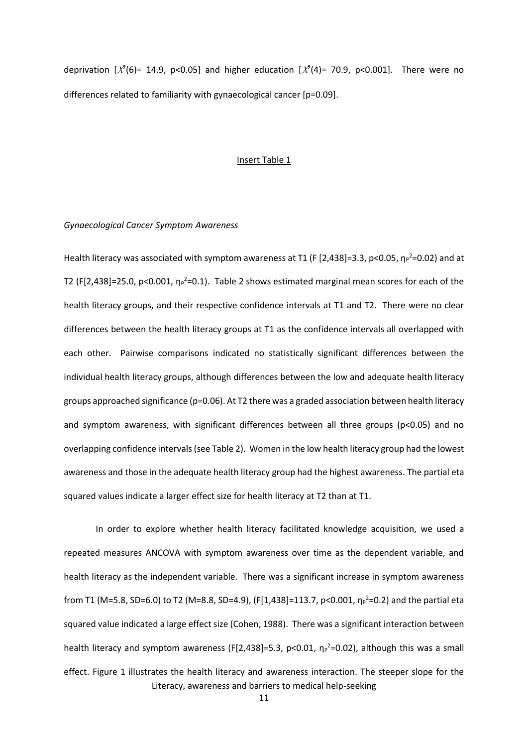deprivation  $[X^2(6) = 14.9, p<0.05]$  and higher education  $[X^2(4) = 70.9, p<0.001]$ . There were no differences related to familiarity with gynaecological cancer [p=0.09].

#### Insert Table 1

## *Gynaecological Cancer Symptom Awareness*

Health literacy was associated with symptom awareness at T1 (F [2,438]=3.3, p<0.05,  $\eta_P^2$ =0.02) and at T2 (F[2,438]=25.0, p<0.001,  $\eta_P^2$ =0.1). Table 2 shows estimated marginal mean scores for each of the health literacy groups, and their respective confidence intervals at T1 and T2. There were no clear differences between the health literacy groups at T1 as the confidence intervals all overlapped with each other. Pairwise comparisons indicated no statistically significant differences between the individual health literacy groups, although differences between the low and adequate health literacy groups approached significance ( $p=0.06$ ). At T2 there was a graded association between health literacy and symptom awareness, with significant differences between all three groups (p<0.05) and no overlapping confidence intervals (see Table 2). Women in the low health literacy group had the lowest awareness and those in the adequate health literacy group had the highest awareness. The partial eta squared values indicate a larger effect size for health literacy at T2 than at T1.

Literacy, awareness and barriers to medical help-seeking In order to explore whether health literacy facilitated knowledge acquisition, we used a repeated measures ANCOVA with symptom awareness over time as the dependent variable, and health literacy as the independent variable. There was a significant increase in symptom awareness from T1 (M=5.8, SD=6.0) to T2 (M=8.8, SD=4.9), (F[1,438]=113.7, p<0.001,  $\eta_P^2$ =0.2) and the partial eta squared value indicated a large effect size (Cohen, 1988). There was a significant interaction between health literacy and symptom awareness (F[2,438]=5.3, p<0.01,  $\eta_P^2$ =0.02), although this was a small effect. Figure 1 illustrates the health literacy and awareness interaction. The steeper slope for the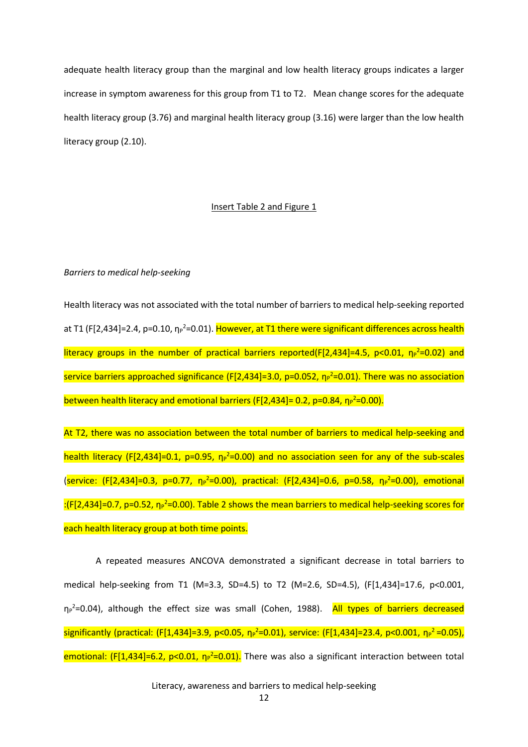adequate health literacy group than the marginal and low health literacy groups indicates a larger increase in symptom awareness for this group from T1 to T2. Mean change scores for the adequate health literacy group (3.76) and marginal health literacy group (3.16) were larger than the low health literacy group (2.10).

## Insert Table 2 and Figure 1

#### *Barriers to medical help-seeking*

Health literacy was not associated with the total number of barriers to medical help-seeking reported at T1 (F[2,434]=2.4, p=0.10, ηթ<sup>2</sup>=0.01). <mark>However, at T1 there were significant differences across health</mark> literacy groups in the number of practical barriers reported(F[2,434]=4.5, p<0.01,  $\eta_P^2$ =0.02) and service barriers approached significance (F[2,434]=3.0, p=0.052, η<sub>P</sub><sup>2</sup>=0.01). There was no association between health literacy and emotional barriers (F[2,434]= 0.2, p=0.84, η<sub>P</sub><sup>2</sup>=0.00).

At T2, there was no association between the total number of barriers to medical help-seeking and health literacy (F[2,434]=0.1, p=0.95, η<sub>P</sub><sup>2</sup>=0.00) and no association seen for any of the sub-scales (service: (F[2,434]=0.3, p=0.77,  $\eta_P^2$ =0.00), practical: (F[2,434]=0.6, p=0.58,  $\eta_P^2$ =0.00), emotional :(F[2,434]=0.7, p=0.52, η<sub>P</sub><sup>2</sup>=0.00). Table 2 shows the mean barriers to medical help-seeking scores for each health literacy group at both time points.

A repeated measures ANCOVA demonstrated a significant decrease in total barriers to medical help-seeking from T1 (M=3.3, SD=4.5) to T2 (M=2.6, SD=4.5), (F[1,434]=17.6, p<0.001, η<sub>P</sub><sup>2</sup>=0.04), although the effect size was small (Cohen, 1988). All types of barriers decreased  $s$ ignificantly (practical: (F[1,434]=3.9, p<0.05,  $\eta_P^2$ =0.01), service: (F[1,434]=23.4, p<0.001,  $\eta_P^2$ =0.05), emotional: (F[1,434]=6.2, p<0.01, η<sub>P</sub><sup>2</sup>=0.01). There was also a significant interaction between total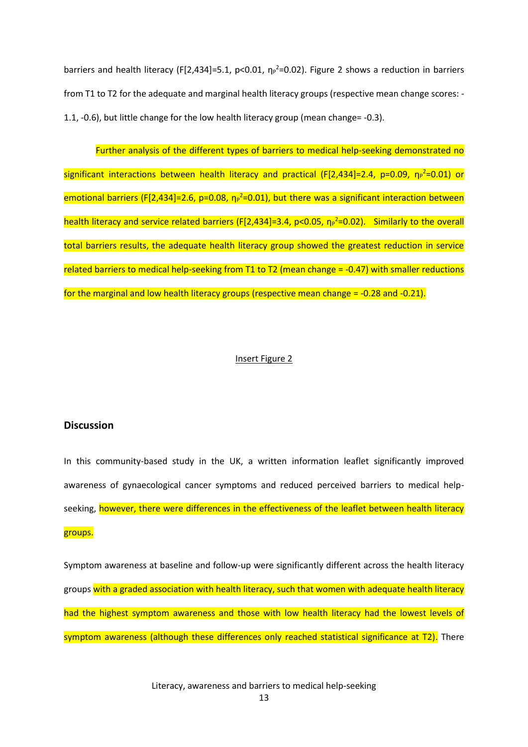barriers and health literacy (F[2,434]=5.1, p<0.01,  $\eta_P^2$ =0.02). Figure 2 shows a reduction in barriers from T1 to T2 for the adequate and marginal health literacy groups (respective mean change scores: - 1.1, -0.6), but little change for the low health literacy group (mean change= -0.3).

Further analysis of the different types of barriers to medical help-seeking demonstrated no significant interactions between health literacy and practical (F[2,434]=2.4, p=0.09, η<sub>P</sub><sup>2</sup>=0.01) or emotional barriers (F[2,434]=2.6, p=0.08,  $\eta_P^2$ =0.01), but there was a significant interaction between health literacy and service related barriers (F[2,434]=3.4, p<0.05, η<sub>P</sub><sup>2=</sup>0.02). Similarly to the overall total barriers results, the adequate health literacy group showed the greatest reduction in service related barriers to medical help-seeking from T1 to T2 (mean change = -0.47) with smaller reductions for the marginal and low health literacy groups (respective mean change = -0.28 and -0.21).

#### Insert Figure 2

## **Discussion**

In this community-based study in the UK, a written information leaflet significantly improved awareness of gynaecological cancer symptoms and reduced perceived barriers to medical helpseeking, however, there were differences in the effectiveness of the leaflet between health literacy groups.

Symptom awareness at baseline and follow-up were significantly different across the health literacy groups with a graded association with health literacy, such that women with adequate health literacy had the highest symptom awareness and those with low health literacy had the lowest levels of symptom awareness (although these differences only reached statistical significance at T2). There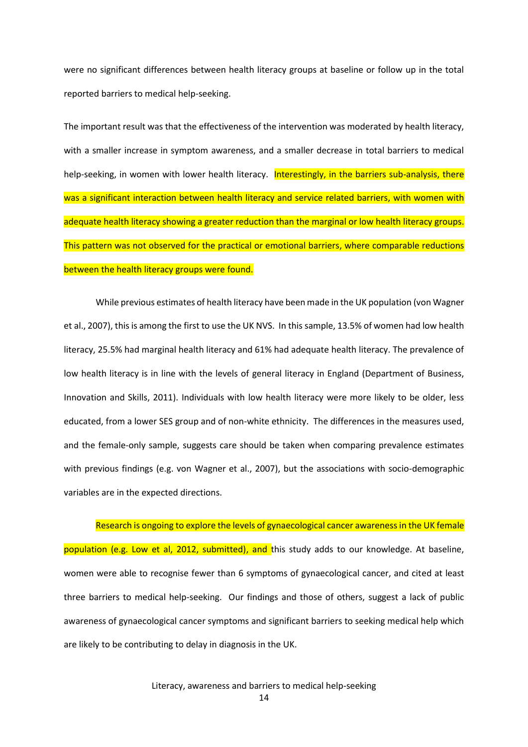were no significant differences between health literacy groups at baseline or follow up in the total reported barriers to medical help-seeking.

The important result was that the effectiveness of the intervention was moderated by health literacy, with a smaller increase in symptom awareness, and a smaller decrease in total barriers to medical help-seeking, in women with lower health literacy. Interestingly, in the barriers sub-analysis, there was a significant interaction between health literacy and service related barriers, with women with adequate health literacy showing a greater reduction than the marginal or low health literacy groups. This pattern was not observed for the practical or emotional barriers, where comparable reductions between the health literacy groups were found.

While previous estimates of health literacy have been made in the UK population (von Wagner et al., 2007), this is among the first to use the UK NVS. In this sample, 13.5% of women had low health literacy, 25.5% had marginal health literacy and 61% had adequate health literacy. The prevalence of low health literacy is in line with the levels of general literacy in England (Department of Business, Innovation and Skills, 2011). Individuals with low health literacy were more likely to be older, less educated, from a lower SES group and of non-white ethnicity. The differences in the measures used, and the female-only sample, suggests care should be taken when comparing prevalence estimates with previous findings (e.g. von Wagner et al., 2007), but the associations with socio-demographic variables are in the expected directions.

Research is ongoing to explore the levels of gynaecological cancer awareness in the UK female population (e.g. Low et al, 2012, submitted), and this study adds to our knowledge. At baseline, women were able to recognise fewer than 6 symptoms of gynaecological cancer, and cited at least three barriers to medical help-seeking. Our findings and those of others, suggest a lack of public awareness of gynaecological cancer symptoms and significant barriers to seeking medical help which are likely to be contributing to delay in diagnosis in the UK.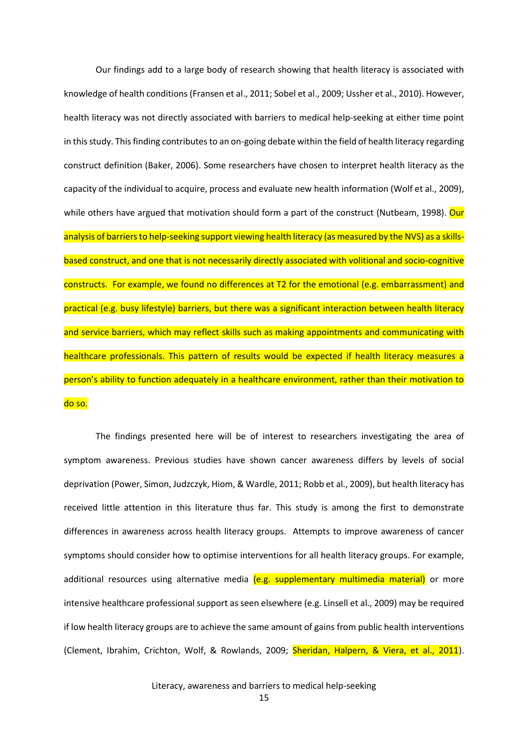Our findings add to a large body of research showing that health literacy is associated with knowledge of health conditions (Fransen et al., 2011; Sobel et al., 2009; Ussher et al., 2010). However, health literacy was not directly associated with barriers to medical help-seeking at either time point in this study. This finding contributes to an on-going debate within the field of health literacy regarding construct definition (Baker, 2006). Some researchers have chosen to interpret health literacy as the capacity of the individual to acquire, process and evaluate new health information (Wolf et al., 2009), while others have argued that motivation should form a part of the construct (Nutbeam, 1998). Our analysis of barriers to help-seeking support viewing health literacy (as measured by the NVS) as a skillsbased construct, and one that is not necessarily directly associated with volitional and socio-cognitive constructs. For example, we found no differences at T2 for the emotional (e.g. embarrassment) and practical (e.g. busy lifestyle) barriers, but there was a significant interaction between health literacy and service barriers, which may reflect skills such as making appointments and communicating with healthcare professionals. This pattern of results would be expected if health literacy measures a person's ability to function adequately in a healthcare environment, rather than their motivation to do so.

The findings presented here will be of interest to researchers investigating the area of symptom awareness. Previous studies have shown cancer awareness differs by levels of social deprivation (Power, Simon, Judzczyk, Hiom, & Wardle, 2011; Robb et al., 2009), but health literacy has received little attention in this literature thus far. This study is among the first to demonstrate differences in awareness across health literacy groups. Attempts to improve awareness of cancer symptoms should consider how to optimise interventions for all health literacy groups. For example, additional resources using alternative media (e.g. supplementary multimedia material) or more intensive healthcare professional support as seen elsewhere (e.g. Linsell et al., 2009) may be required if low health literacy groups are to achieve the same amount of gains from public health interventions (Clement, Ibrahim, Crichton, Wolf, & Rowlands, 2009; Sheridan, Halpern, & Viera, et al., 2011).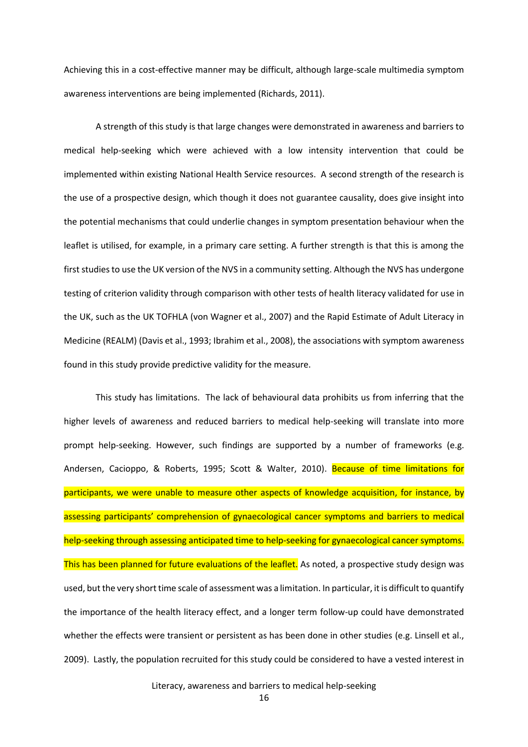Achieving this in a cost-effective manner may be difficult, although large-scale multimedia symptom awareness interventions are being implemented (Richards, 2011).

A strength of this study is that large changes were demonstrated in awareness and barriers to medical help-seeking which were achieved with a low intensity intervention that could be implemented within existing National Health Service resources. A second strength of the research is the use of a prospective design, which though it does not guarantee causality, does give insight into the potential mechanisms that could underlie changes in symptom presentation behaviour when the leaflet is utilised, for example, in a primary care setting. A further strength is that this is among the first studies to use the UK version of the NVS in a community setting. Although the NVS has undergone testing of criterion validity through comparison with other tests of health literacy validated for use in the UK, such as the UK TOFHLA (von Wagner et al., 2007) and the Rapid Estimate of Adult Literacy in Medicine (REALM) (Davis et al., 1993; Ibrahim et al., 2008), the associations with symptom awareness found in this study provide predictive validity for the measure.

This study has limitations. The lack of behavioural data prohibits us from inferring that the higher levels of awareness and reduced barriers to medical help-seeking will translate into more prompt help-seeking. However, such findings are supported by a number of frameworks (e.g. Andersen, Cacioppo, & Roberts, 1995; Scott & Walter, 2010). Because of time limitations for participants, we were unable to measure other aspects of knowledge acquisition, for instance, by assessing participants' comprehension of gynaecological cancer symptoms and barriers to medical help-seeking through assessing anticipated time to help-seeking for gynaecological cancer symptoms. This has been planned for future evaluations of the leaflet. As noted, a prospective study design was used, but the very short time scale of assessment was a limitation. In particular, it is difficult to quantify the importance of the health literacy effect, and a longer term follow-up could have demonstrated whether the effects were transient or persistent as has been done in other studies (e.g. Linsell et al., 2009). Lastly, the population recruited for this study could be considered to have a vested interest in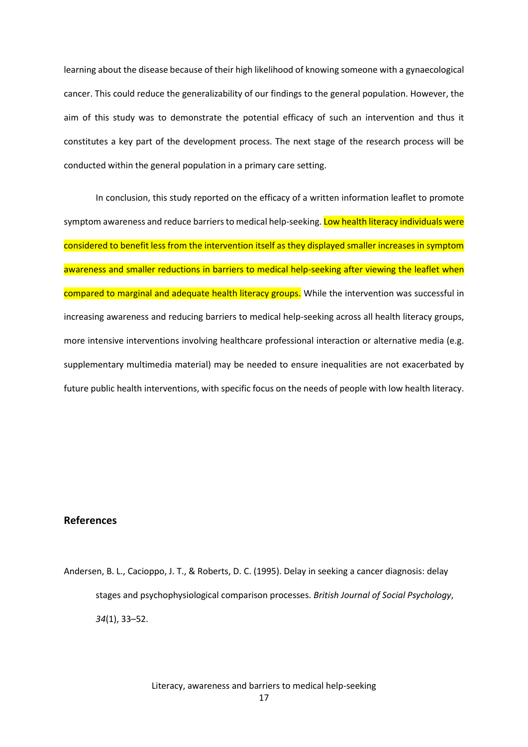learning about the disease because of their high likelihood of knowing someone with a gynaecological cancer. This could reduce the generalizability of our findings to the general population. However, the aim of this study was to demonstrate the potential efficacy of such an intervention and thus it constitutes a key part of the development process. The next stage of the research process will be conducted within the general population in a primary care setting.

In conclusion, this study reported on the efficacy of a written information leaflet to promote symptom awareness and reduce barriers to medical help-seeking. Low health literacy individuals were considered to benefit less from the intervention itself as they displayed smaller increases in symptom awareness and smaller reductions in barriers to medical help-seeking after viewing the leaflet when compared to marginal and adequate health literacy groups. While the intervention was successful in increasing awareness and reducing barriers to medical help-seeking across all health literacy groups, more intensive interventions involving healthcare professional interaction or alternative media (e.g. supplementary multimedia material) may be needed to ensure inequalities are not exacerbated by future public health interventions, with specific focus on the needs of people with low health literacy.

## **References**

Andersen, B. L., Cacioppo, J. T., & Roberts, D. C. (1995). Delay in seeking a cancer diagnosis: delay stages and psychophysiological comparison processes. *British Journal of Social Psychology*, *34*(1), 33–52.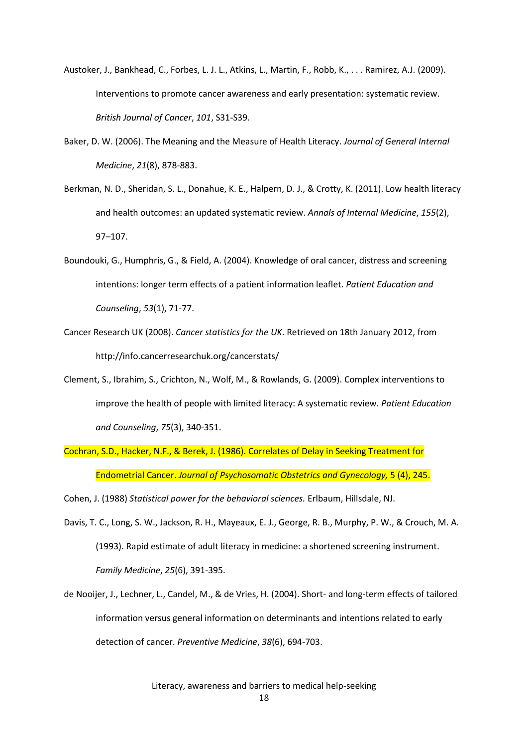- Austoker, J., Bankhead, C., Forbes, L. J. L., Atkins, L., Martin, F., Robb, K., . . . Ramirez, A.J. (2009). Interventions to promote cancer awareness and early presentation: systematic review. *British Journal of Cancer*, *101*, S31-S39.
- Baker, D. W. (2006). The Meaning and the Measure of Health Literacy. *Journal of General Internal Medicine*, *21*(8), 878-883.
- Berkman, N. D., Sheridan, S. L., Donahue, K. E., Halpern, D. J., & Crotty, K. (2011). Low health literacy and health outcomes: an updated systematic review. *Annals of Internal Medicine*, *155*(2), 97–107.
- Boundouki, G., Humphris, G., & Field, A. (2004). Knowledge of oral cancer, distress and screening intentions: longer term effects of a patient information leaflet. *Patient Education and Counseling*, *53*(1), 71-77.
- Cancer Research UK (2008). *Cancer statistics for the UK*. Retrieved on 18th January 2012, from http://info.cancerresearchuk.org/cancerstats/
- Clement, S., Ibrahim, S., Crichton, N., Wolf, M., & Rowlands, G. (2009). Complex interventions to improve the health of people with limited literacy: A systematic review. *Patient Education and Counseling*, *75*(3), 340-351.
- Cochran, S.D., Hacker, N.F., & Berek, J. (1986). Correlates of Delay in Seeking Treatment for Endometrial Cancer. *Journal of Psychosomatic Obstetrics and Gynecology,* 5 (4), 245.

Cohen, J. (1988) *Statistical power for the behavioral sciences.* Erlbaum, Hillsdale, NJ.

- Davis, T. C., Long, S. W., Jackson, R. H., Mayeaux, E. J., George, R. B., Murphy, P. W., & Crouch, M. A. (1993). Rapid estimate of adult literacy in medicine: a shortened screening instrument. *Family Medicine*, *25*(6), 391-395.
- de Nooijer, J., Lechner, L., Candel, M., & de Vries, H. (2004). Short- and long-term effects of tailored information versus general information on determinants and intentions related to early detection of cancer. *Preventive Medicine*, *38*(6), 694-703.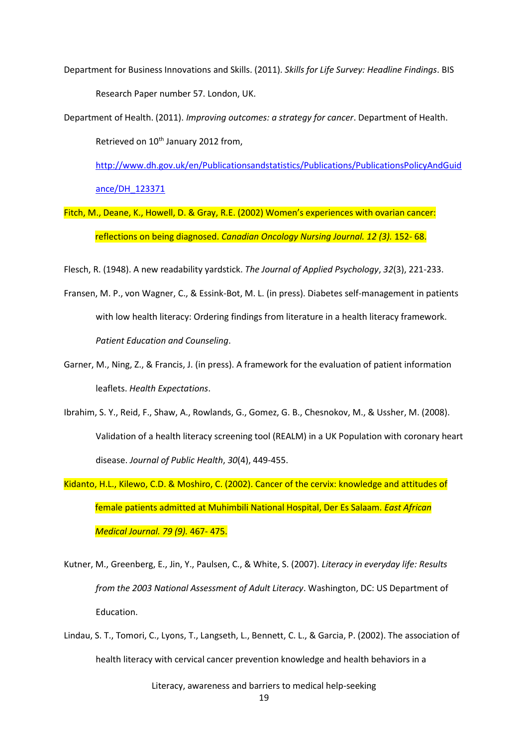- Department for Business Innovations and Skills. (2011). *Skills for Life Survey: Headline Findings*. BIS Research Paper number 57. London, UK.
- Department of Health. (2011). *Improving outcomes: a strategy for cancer*. Department of Health. Retrieved on 10<sup>th</sup> January 2012 from,

[http://www.dh.gov.uk/en/Publicationsandstatistics/Publications/PublicationsPolicyAndGuid](http://www.dh.gov.uk/en/Publicationsandstatistics/Publications/PublicationsPolicyAndGuidance/DH_123371) [ance/DH\\_123371](http://www.dh.gov.uk/en/Publicationsandstatistics/Publications/PublicationsPolicyAndGuidance/DH_123371)

Fitch, M., Deane, K., Howell, D. & Gray, R.E. (2002) Women's experiences with ovarian cancer: reflections on being diagnosed. *Canadian Oncology Nursing Journal. 12 (3).* 152- 68.

Flesch, R. (1948). A new readability yardstick. *The Journal of Applied Psychology*, *32*(3), 221-233.

- Fransen, M. P., von Wagner, C., & Essink-Bot, M. L. (in press). Diabetes self-management in patients with low health literacy: Ordering findings from literature in a health literacy framework. *Patient Education and Counseling*.
- Garner, M., Ning, Z., & Francis, J. (in press). A framework for the evaluation of patient information leaflets. *Health Expectations*.
- Ibrahim, S. Y., Reid, F., Shaw, A., Rowlands, G., Gomez, G. B., Chesnokov, M., & Ussher, M. (2008). Validation of a health literacy screening tool (REALM) in a UK Population with coronary heart disease. *Journal of Public Health*, *30*(4), 449-455.
- Kidanto, H.L., Kilewo, C.D. & Moshiro, C. (2002). Cancer of the cervix: knowledge and attitudes of female patients admitted at Muhimbili National Hospital, Der Es Salaam. *East African Medical Journal. 79 (9).* 467- 475.
- Kutner, M., Greenberg, E., Jin, Y., Paulsen, C., & White, S. (2007). *Literacy in everyday life: Results from the 2003 National Assessment of Adult Literacy*. Washington, DC: US Department of Education.
- Lindau, S. T., Tomori, C., Lyons, T., Langseth, L., Bennett, C. L., & Garcia, P. (2002). The association of health literacy with cervical cancer prevention knowledge and health behaviors in a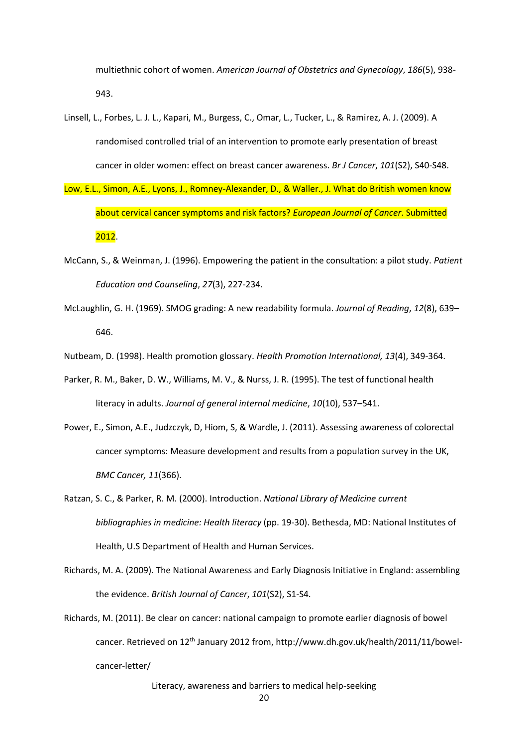multiethnic cohort of women. *American Journal of Obstetrics and Gynecology*, *186*(5), 938- 943.

- Linsell, L., Forbes, L. J. L., Kapari, M., Burgess, C., Omar, L., Tucker, L., & Ramirez, A. J. (2009). A randomised controlled trial of an intervention to promote early presentation of breast cancer in older women: effect on breast cancer awareness. *Br J Cancer*, *101*(S2), S40-S48.
- Low, E.L., Simon, A.E., Lyons, J., Romney-Alexander, D., & Waller., J. What do British women know about cervical cancer symptoms and risk factors? *European Journal of Cancer*. Submitted 2012.
- McCann, S., & Weinman, J. (1996). Empowering the patient in the consultation: a pilot study. *Patient Education and Counseling*, *27*(3), 227-234.
- McLaughlin, G. H. (1969). SMOG grading: A new readability formula. *Journal of Reading*, *12*(8), 639– 646.

Nutbeam, D. (1998). Health promotion glossary. *Health Promotion International, 13*(4), 349-364.

- Parker, R. M., Baker, D. W., Williams, M. V., & Nurss, J. R. (1995). The test of functional health literacy in adults. *Journal of general internal medicine*, *10*(10), 537–541.
- Power, E., Simon, A.E., Judzczyk, D, Hiom, S, & Wardle, J. (2011). Assessing awareness of colorectal cancer symptoms: Measure development and results from a population survey in the UK, *BMC Cancer, 11*(366).
- Ratzan, S. C., & Parker, R. M. (2000). Introduction. *National Library of Medicine current bibliographies in medicine: Health literacy* (pp. 19-30). Bethesda, MD: National Institutes of Health, U.S Department of Health and Human Services.
- Richards, M. A. (2009). The National Awareness and Early Diagnosis Initiative in England: assembling the evidence. *British Journal of Cancer*, *101*(S2), S1-S4.
- Richards, M. (2011). Be clear on cancer: national campaign to promote earlier diagnosis of bowel cancer. Retrieved on 12<sup>th</sup> January 2012 from, http://www.dh.gov.uk/health/2011/11/bowelcancer-letter/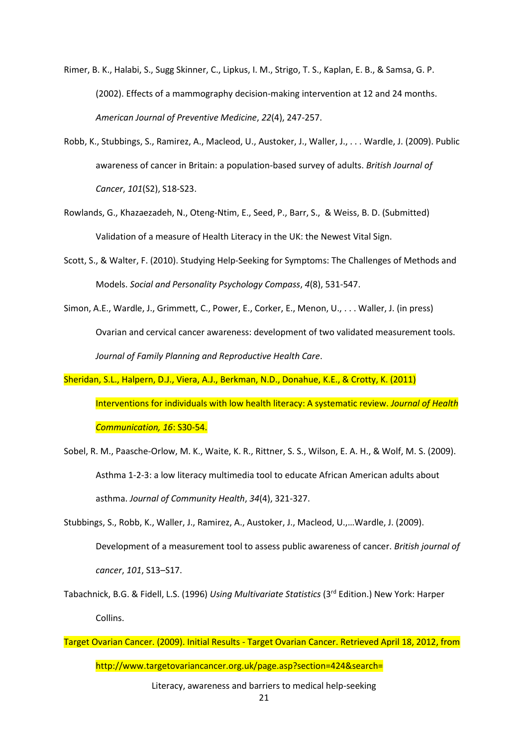Rimer, B. K., Halabi, S., Sugg Skinner, C., Lipkus, I. M., Strigo, T. S., Kaplan, E. B., & Samsa, G. P. (2002). Effects of a mammography decision-making intervention at 12 and 24 months. *American Journal of Preventive Medicine*, *22*(4), 247-257.

- Robb, K., Stubbings, S., Ramirez, A., Macleod, U., Austoker, J., Waller, J., . . . Wardle, J. (2009). Public awareness of cancer in Britain: a population-based survey of adults. *British Journal of Cancer*, *101*(S2), S18-S23.
- Rowlands, G., Khazaezadeh, N., Oteng-Ntim, E., Seed, P., Barr, S., & Weiss, B. D. (Submitted) Validation of a measure of Health Literacy in the UK: the Newest Vital Sign.
- Scott, S., & Walter, F. (2010). Studying Help‐Seeking for Symptoms: The Challenges of Methods and Models. *Social and Personality Psychology Compass*, *4*(8), 531-547.
- Simon, A.E., Wardle, J., Grimmett, C., Power, E., Corker, E., Menon, U., . . . Waller, J. (in press) Ovarian and cervical cancer awareness: development of two validated measurement tools. *Journal of Family Planning and Reproductive Health Care*.
- Sheridan, S.L., Halpern, D.J., Viera, A.J., Berkman, N.D., Donahue, K.E., & Crotty, K. (2011) Interventions for individuals with low health literacy: A systematic review. *Journal of Health Communication, 16*: S30-54.
- Sobel, R. M., Paasche-Orlow, M. K., Waite, K. R., Rittner, S. S., Wilson, E. A. H., & Wolf, M. S. (2009). Asthma 1-2-3: a low literacy multimedia tool to educate African American adults about asthma. *Journal of Community Health*, *34*(4), 321-327.
- Stubbings, S., Robb, K., Waller, J., Ramirez, A., Austoker, J., Macleod, U.,…Wardle, J. (2009). Development of a measurement tool to assess public awareness of cancer. *British journal of cancer*, *101*, S13–S17.
- Tabachnick, B.G. & Fidell, L.S. (1996) *Using Multivariate Statistics* (3rd Edition.) New York: Harper Collins.
- Literacy, awareness and barriers to medical help-seeking Target Ovarian Cancer. (2009). Initial Results - Target Ovarian Cancer. Retrieved April 18, 2012, from http://www.targetovariancancer.org.uk/page.asp?section=424&search=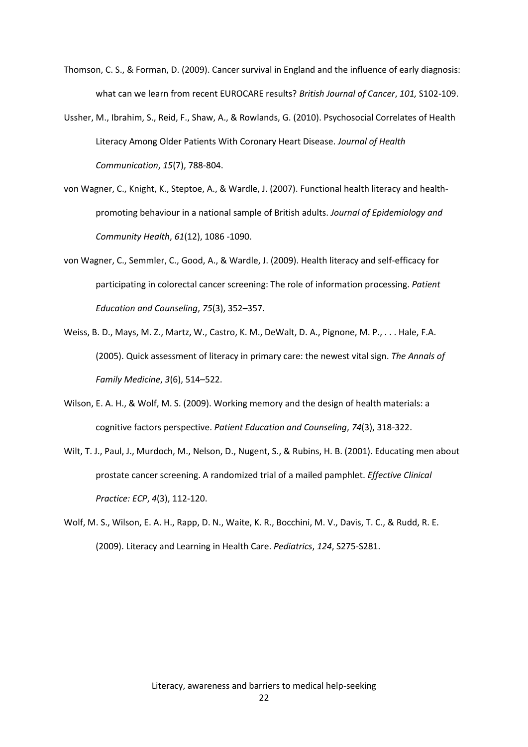- Thomson, C. S., & Forman, D. (2009). Cancer survival in England and the influence of early diagnosis: what can we learn from recent EUROCARE results? *British Journal of Cancer*, *101,* S102-109.
- Ussher, M., Ibrahim, S., Reid, F., Shaw, A., & Rowlands, G. (2010). Psychosocial Correlates of Health Literacy Among Older Patients With Coronary Heart Disease. *Journal of Health Communication*, *15*(7), 788-804.
- von Wagner, C., Knight, K., Steptoe, A., & Wardle, J. (2007). Functional health literacy and healthpromoting behaviour in a national sample of British adults. *Journal of Epidemiology and Community Health*, *61*(12), 1086 -1090.
- von Wagner, C., Semmler, C., Good, A., & Wardle, J. (2009). Health literacy and self-efficacy for participating in colorectal cancer screening: The role of information processing. *Patient Education and Counseling*, *75*(3), 352–357.
- Weiss, B. D., Mays, M. Z., Martz, W., Castro, K. M., DeWalt, D. A., Pignone, M. P., . . . Hale, F.A. (2005). Quick assessment of literacy in primary care: the newest vital sign. *The Annals of Family Medicine*, *3*(6), 514–522.
- Wilson, E. A. H., & Wolf, M. S. (2009). Working memory and the design of health materials: a cognitive factors perspective. *Patient Education and Counseling*, *74*(3), 318-322.
- Wilt, T. J., Paul, J., Murdoch, M., Nelson, D., Nugent, S., & Rubins, H. B. (2001). Educating men about prostate cancer screening. A randomized trial of a mailed pamphlet. *Effective Clinical Practice: ECP*, *4*(3), 112-120.
- Wolf, M. S., Wilson, E. A. H., Rapp, D. N., Waite, K. R., Bocchini, M. V., Davis, T. C., & Rudd, R. E. (2009). Literacy and Learning in Health Care. *Pediatrics*, *124*, S275-S281.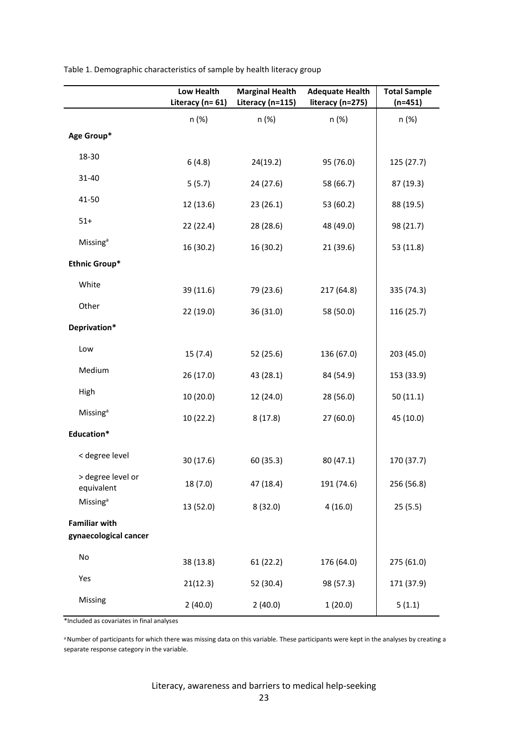|                                 | <b>Low Health</b><br>Literacy (n= 61) | <b>Marginal Health</b><br>Literacy (n=115) | <b>Adequate Health</b><br>literacy (n=275) | <b>Total Sample</b><br>$(n=451)$ |
|---------------------------------|---------------------------------------|--------------------------------------------|--------------------------------------------|----------------------------------|
|                                 | n (%)                                 | n (%)                                      | n (%)                                      | n (%)                            |
| Age Group*                      |                                       |                                            |                                            |                                  |
| 18-30                           | 6(4.8)                                | 24(19.2)                                   | 95 (76.0)                                  | 125 (27.7)                       |
| 31-40                           | 5(5.7)                                | 24 (27.6)                                  | 58 (66.7)                                  | 87 (19.3)                        |
| 41-50                           | 12 (13.6)                             | 23(26.1)                                   | 53 (60.2)                                  | 88 (19.5)                        |
| $51+$                           | 22 (22.4)                             | 28 (28.6)                                  | 48 (49.0)                                  | 98 (21.7)                        |
| Missing <sup>a</sup>            | 16 (30.2)                             | 16 (30.2)                                  | 21(39.6)                                   | 53 (11.8)                        |
| <b>Ethnic Group*</b>            |                                       |                                            |                                            |                                  |
| White                           | 39 (11.6)                             | 79 (23.6)                                  | 217 (64.8)                                 | 335 (74.3)                       |
| Other                           | 22 (19.0)                             | 36 (31.0)                                  | 58 (50.0)                                  | 116 (25.7)                       |
| Deprivation*                    |                                       |                                            |                                            |                                  |
| Low                             | 15(7.4)                               | 52 (25.6)                                  | 136 (67.0)                                 | 203 (45.0)                       |
| Medium                          | 26 (17.0)                             | 43 (28.1)                                  | 84 (54.9)                                  | 153 (33.9)                       |
| High                            | 10 (20.0)                             | 12 (24.0)                                  | 28 (56.0)                                  | 50(11.1)                         |
| Missing <sup>a</sup>            | 10(22.2)                              | 8(17.8)                                    | 27 (60.0)                                  | 45 (10.0)                        |
| Education*                      |                                       |                                            |                                            |                                  |
| < degree level                  | 30 (17.6)                             | 60 (35.3)                                  | 80 (47.1)                                  | 170 (37.7)                       |
| > degree level or<br>equivalent | 18 (7.0)                              | 47 (18.4)                                  | 191 (74.6)                                 | 256 (56.8)                       |
| <b>Missing</b> <sup>a</sup>     | 13 (52.0)                             | 8(32.0)                                    | 4(16.0)                                    | 25(5.5)                          |
| <b>Familiar with</b>            |                                       |                                            |                                            |                                  |
| gynaecological cancer           |                                       |                                            |                                            |                                  |
| No                              | 38 (13.8)                             | 61(22.2)                                   | 176 (64.0)                                 | 275 (61.0)                       |
| Yes                             | 21(12.3)                              | 52 (30.4)                                  | 98 (57.3)                                  | 171 (37.9)                       |
| Missing                         | 2(40.0)                               | 2(40.0)                                    | 1(20.0)                                    | 5(1.1)                           |

Table 1. Demographic characteristics of sample by health literacy group

\*Included as covariates in final analyses

a Number of participants for which there was missing data on this variable. These participants were kept in the analyses by creating a separate response category in the variable.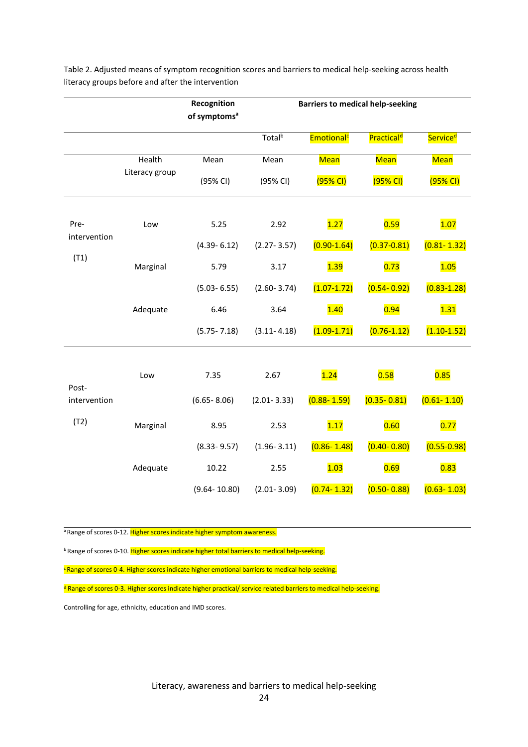|                               |                          | Recognition<br>of symptoms <sup>a</sup> | <b>Barriers to medical help-seeking</b> |                        |                        |                      |
|-------------------------------|--------------------------|-----------------------------------------|-----------------------------------------|------------------------|------------------------|----------------------|
|                               |                          |                                         | Total <sup>b</sup>                      | Emotional <sup>c</sup> | Practical <sup>d</sup> | Service <sup>d</sup> |
|                               | Health<br>Literacy group | Mean                                    | Mean                                    | <b>Mean</b>            | <b>Mean</b>            | Mean                 |
|                               |                          | (95% CI)                                | (95% CI)                                | (95% CI)               | (95% CI)               | (95% Cl)             |
| Pre-<br>intervention<br>(T1)  | Low                      | 5.25                                    | 2.92                                    | 1.27                   | 0.59                   | 1.07                 |
|                               |                          | $(4.39 - 6.12)$                         | $(2.27 - 3.57)$                         | $(0.90 - 1.64)$        | $(0.37 - 0.81)$        | $(0.81 - 1.32)$      |
|                               | Marginal                 | 5.79                                    | 3.17                                    | 1.39                   | 0.73                   | 1.05                 |
|                               |                          | $(5.03 - 6.55)$                         | $(2.60 - 3.74)$                         | $(1.07 - 1.72)$        | $(0.54 - 0.92)$        | $(0.83 - 1.28)$      |
|                               | Adequate                 | 6.46                                    | 3.64                                    | 1.40                   | 0.94                   | 1.31                 |
|                               |                          | $(5.75 - 7.18)$                         | $(3.11 - 4.18)$                         | $(1.09 - 1.71)$        | $(0.76 - 1.12)$        | $(1.10-1.52)$        |
| Post-<br>intervention<br>(T2) | Low                      | 7.35                                    | 2.67                                    | 1.24                   | 0.58                   | 0.85                 |
|                               |                          | $(6.65 - 8.06)$                         | $(2.01 - 3.33)$                         | $(0.88 - 1.59)$        | $(0.35 - 0.81)$        | $(0.61 - 1.10)$      |
|                               | Marginal                 | 8.95                                    | 2.53                                    | 1.17                   | 0.60                   | 0.77                 |
|                               |                          | $(8.33 - 9.57)$                         | $(1.96 - 3.11)$                         | $(0.86 - 1.48)$        | $(0.40 - 0.80)$        | $(0.55 - 0.98)$      |
|                               | Adequate                 | 10.22                                   | 2.55                                    | 1.03                   | 0.69                   | 0.83                 |
|                               |                          | $(9.64 - 10.80)$                        | $(2.01 - 3.09)$                         | $(0.74 - 1.32)$        | $(0.50 - 0.88)$        | $(0.63 - 1.03)$      |

Table 2. Adjusted means of symptom recognition scores and barriers to medical help-seeking across health literacy groups before and after the intervention

a Range of scores 0-12. Higher scores indicate higher symptom awareness.

<sup>b</sup> Range of scores 0-10. Higher scores indicate higher total barriers to medical help-seeking.

<sup>c</sup> Range of scores 0-4. Higher scores indicate higher emotional barriers to medical help-seeking.

<sup>d</sup> Range of scores 0-3. Higher scores indicate higher practical/ service related barriers to medical help-seeking.

Controlling for age, ethnicity, education and IMD scores.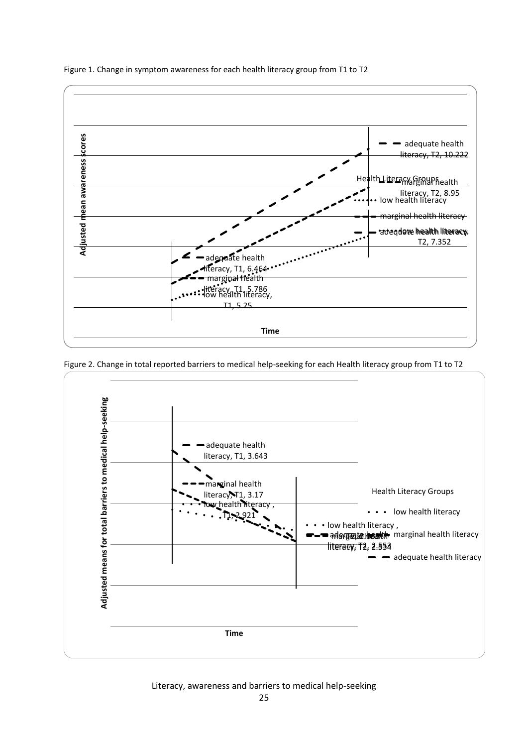

Figure 1. Change in symptom awareness for each health literacy group from T1 to T2